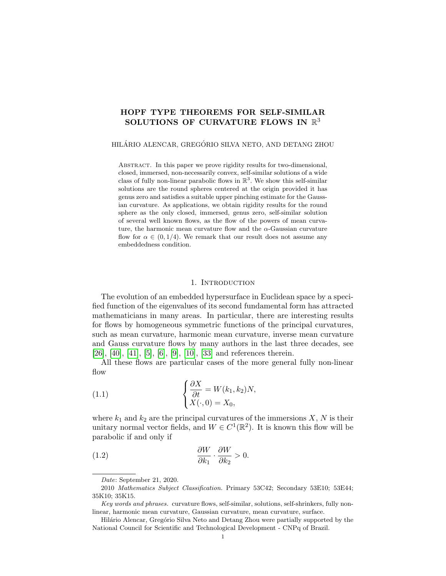# HOPF TYPE THEOREMS FOR SELF-SIMILAR SOLUTIONS OF CURVATURE FLOWS IN  $\mathbb{R}^3$

HILÁRIO ALENCAR, GREGÓRIO SILVA NETO, AND DETANG ZHOU

Abstract. In this paper we prove rigidity results for two-dimensional, closed, immersed, non-necessarily convex, self-similar solutions of a wide class of fully non-linear parabolic flows in  $\mathbb{R}^3$ . We show this self-similar solutions are the round spheres centered at the origin provided it has genus zero and satisfies a suitable upper pinching estimate for the Gaussian curvature. As applications, we obtain rigidity results for the round sphere as the only closed, immersed, genus zero, self-similar solution of several well known flows, as the flow of the powers of mean curvature, the harmonic mean curvature flow and the  $\alpha$ -Gaussian curvature flow for  $\alpha \in (0, 1/4)$ . We remark that our result does not assume any embeddedness condition.

#### 1. INTRODUCTION

The evolution of an embedded hypersurface in Euclidean space by a specified function of the eigenvalues of its second fundamental form has attracted mathematicians in many areas. In particular, there are interesting results for flows by homogeneous symmetric functions of the principal curvatures, such as mean curvature, harmonic mean curvature, inverse mean curvature and Gauss curvature flows by many authors in the last three decades, see [\[26\]](#page-21-0), [\[40\]](#page-21-1), [\[41\]](#page-21-2), [\[5\]](#page-20-0), [\[6\]](#page-20-1), [\[9\]](#page-20-2), [\[10\]](#page-20-3), [\[33\]](#page-21-3) and references therein.

All these flows are particular cases of the more general fully non-linear flow

<span id="page-0-0"></span>(1.1) 
$$
\begin{cases} \frac{\partial X}{\partial t} = W(k_1, k_2)N, \\ X(\cdot, 0) = X_0, \end{cases}
$$

where  $k_1$  and  $k_2$  are the principal curvatures of the immersions  $X, N$  is their unitary normal vector fields, and  $W \in C^1(\mathbb{R}^2)$ . It is known this flow will be parabolic if and only if

(1.2) 
$$
\frac{\partial W}{\partial k_1} \cdot \frac{\partial W}{\partial k_2} > 0.
$$

Date: September 21, 2020.

<sup>2010</sup> Mathematics Subject Classification. Primary 53C42; Secondary 53E10; 53E44; 35K10; 35K15.

Key words and phrases. curvature flows, self-similar, solutions, self-shrinkers, fully nonlinear, harmonic mean curvature, Gaussian curvature, mean curvature, surface.

Hilário Alencar, Gregório Silva Neto and Detang Zhou were partially supported by the National Council for Scientific and Technological Development - CNPq of Brazil.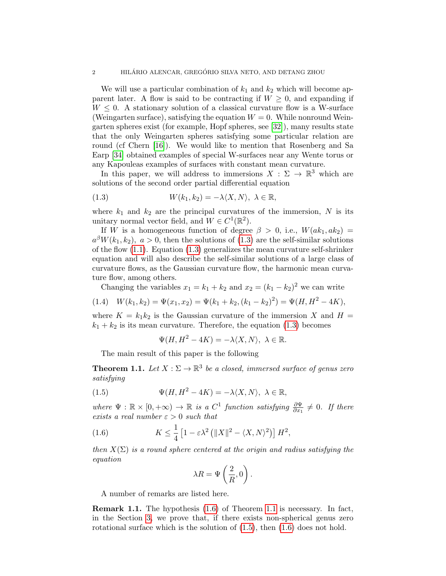We will use a particular combination of  $k_1$  and  $k_2$  which will become apparent later. A flow is said to be contracting if  $W \geq 0$ , and expanding if  $W \leq 0$ . A stationary solution of a classical curvature flow is a W-surface (Weingarten surface), satisfying the equation  $W = 0$ . While nonround Weingarten spheres exist (for example, Hopf spheres, see [\[32\]](#page-21-4)), many results state that the only Weingarten spheres satisfying some particular relation are round (cf Chern [\[16\]](#page-20-4)). We would like to mention that Rosenberg and Sa Earp [\[34\]](#page-21-5) obtained examples of special W-surfaces near any Wente torus or any Kapouleas examples of surfaces with constant mean curvature.

In this paper, we will address to immersions  $X : \Sigma \to \mathbb{R}^3$  which are solutions of the second order partial differential equation

<span id="page-1-0"></span>(1.3) 
$$
W(k_1, k_2) = -\lambda \langle X, N \rangle, \ \lambda \in \mathbb{R},
$$

where  $k_1$  and  $k_2$  are the principal curvatures of the immersion, N is its unitary normal vector field, and  $W \in C^1(\mathbb{R}^2)$ .

If W is a homogeneous function of degree  $\beta > 0$ , i.e.,  $W(ak_1, ak_2) =$  $a^{\beta}W(k_1, k_2)$ ,  $a > 0$ , then the solutions of [\(1.3\)](#page-1-0) are the self-similar solutions of the flow  $(1.1)$ . Equation  $(1.3)$  generalizes the mean curvature self-shrinker equation and will also describe the self-similar solutions of a large class of curvature flows, as the Gaussian curvature flow, the harmonic mean curvature flow, among others.

Changing the variables  $x_1 = k_1 + k_2$  and  $x_2 = (k_1 - k_2)^2$  we can write

$$
(1.4) \quad W(k_1, k_2) = \Psi(x_1, x_2) = \Psi(k_1 + k_2, (k_1 - k_2)^2) = \Psi(H, H^2 - 4K),
$$

where  $K = k_1 k_2$  is the Gaussian curvature of the immersion X and  $H =$  $k_1 + k_2$  is its mean curvature. Therefore, the equation [\(1.3\)](#page-1-0) becomes

<span id="page-1-3"></span>
$$
\Psi(H, H^2 - 4K) = -\lambda \langle X, N \rangle, \ \lambda \in \mathbb{R}.
$$

The main result of this paper is the following

<span id="page-1-2"></span>**Theorem 1.1.** Let  $X : \Sigma \to \mathbb{R}^3$  be a closed, immersed surface of genus zero satisfying

(1.5) 
$$
\Psi(H, H^2 - 4K) = -\lambda \langle X, N \rangle, \ \lambda \in \mathbb{R},
$$

where  $\Psi : \mathbb{R} \times [0, +\infty) \to \mathbb{R}$  is a  $C^1$  function satisfying  $\frac{\partial \Psi}{\partial x_1} \neq 0$ . If there exists a real number  $\varepsilon > 0$  such that

(1.6) 
$$
K \leq \frac{1}{4} \left[ 1 - \varepsilon \lambda^2 \left( \|X\|^2 - \langle X, N \rangle^2 \right) \right] H^2,
$$

then  $X(\Sigma)$  is a round sphere centered at the origin and radius satisfying the equation

<span id="page-1-1"></span>
$$
\lambda R = \Psi\left(\frac{2}{R}, 0\right).
$$

A number of remarks are listed here.

Remark 1.1. The hypothesis [\(1.6\)](#page-1-1) of Theorem [1.1](#page-1-2) is necessary. In fact, in the Section [3,](#page-15-0) we prove that, if there exists non-spherical genus zero rotational surface which is the solution of  $(1.5)$ , then  $(1.6)$  does not hold.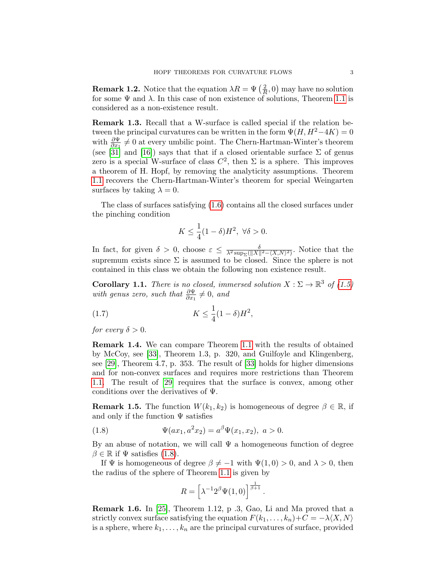**Remark 1.2.** Notice that the equation  $\lambda R = \Psi\left(\frac{2}{R}\right)$  $\frac{2}{R}$ , 0) may have no solution for some  $\Psi$  and  $\lambda$ . In this case of non existence of solutions, Theorem [1.1](#page-1-2) is considered as a non-existence result.

Remark 1.3. Recall that a W-surface is called special if the relation between the principal curvatures can be written in the form  $\Psi(H, H^2-4K) = 0$ with  $\frac{\partial \Psi}{\partial x_1} \neq 0$  at every umbilic point. The Chern-Hartman-Winter's theorem (see [\[31\]](#page-21-6) and [\[16\]](#page-20-4)) says that that if a closed orientable surface  $\Sigma$  of genus zero is a special W-surface of class  $C^2$ , then  $\Sigma$  is a sphere. This improves a theorem of H. Hopf, by removing the analyticity assumptions. Theorem [1.1](#page-1-2) recovers the Chern-Hartman-Winter's theorem for special Weingarten surfaces by taking  $\lambda = 0$ .

The class of surfaces satisfying [\(1.6\)](#page-1-1) contains all the closed surfaces under the pinching condition

$$
K \le \frac{1}{4}(1-\delta)H^2, \ \forall \delta > 0.
$$

In fact, for given  $\delta > 0$ , choose  $\varepsilon \leq \frac{\delta}{\lambda^2 \sup_{\Sigma} (||X||^2 - \langle X, N \rangle^2)}$ . Notice that the supremum exists since  $\Sigma$  is assumed to be closed. Since the sphere is not contained in this class we obtain the following non existence result.

**Corollary 1.1.** There is no closed, immersed solution  $X : \Sigma \to \mathbb{R}^3$  of [\(1.5\)](#page-1-3) with genus zero, such that  $\frac{\partial \Psi}{\partial x_1} \neq 0$ , and

(1.7) 
$$
K \leq \frac{1}{4}(1-\delta)H^2,
$$

for every  $\delta > 0$ .

Remark 1.4. We can compare Theorem [1.1](#page-1-2) with the results of obtained by McCoy, see [\[33\]](#page-21-3), Theorem 1.3, p. 320, and Guilfoyle and Klingenberg, see [\[29\]](#page-21-7), Theorem 4.7, p. 353. The result of [\[33\]](#page-21-3) holds for higher dimensions and for non-convex surfaces and requires more restrictions than Theorem [1.1.](#page-1-2) The result of [\[29\]](#page-21-7) requires that the surface is convex, among other conditions over the derivatives of  $\Psi$ .

**Remark 1.5.** The function  $W(k_1, k_2)$  is homogeneous of degree  $\beta \in \mathbb{R}$ , if and only if the function  $\Psi$  satisfies

(1.8) 
$$
\Psi(ax_1, a^2x_2) = a^{\beta} \Psi(x_1, x_2), \ a > 0.
$$

By an abuse of notation, we will call  $\Psi$  a homogeneous function of degree  $\beta \in \mathbb{R}$  if  $\Psi$  satisfies [\(1.8\)](#page-2-0).

If  $\Psi$  is homogeneous of degree  $\beta \neq -1$  with  $\Psi(1,0) > 0$ , and  $\lambda > 0$ , then the radius of the sphere of Theorem [1.1](#page-1-2) is given by

<span id="page-2-0"></span>
$$
R = \left[\lambda^{-1}2^{\beta}\Psi(1,0)\right]^{\frac{1}{\beta+1}}
$$

.

Remark 1.6. In [\[25\]](#page-21-8), Theorem 1.12, p .3, Gao, Li and Ma proved that a strictly convex surface satisfying the equation  $F(k_1, \ldots, k_n)+C = -\lambda \langle X, N \rangle$ is a sphere, where  $k_1, \ldots, k_n$  are the principal curvatures of surface, provided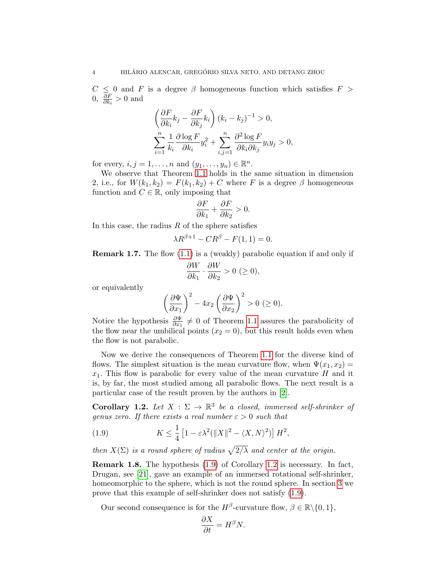$C \leq 0$  and F is a degree  $\beta$  homogeneous function which satisfies  $F >$  $0, \frac{\partial F}{\partial k}$  $\frac{\partial F}{\partial k_i} > 0$  and

$$
\left(\frac{\partial F}{\partial k_i}k_j - \frac{\partial F}{\partial k_j}k_i\right)(k_i - k_j)^{-1} > 0,
$$
  

$$
\sum_{i=1}^n \frac{1}{k_i} \frac{\partial \log F}{\partial k_i} y_i^2 + \sum_{i,j=1}^n \frac{\partial^2 \log F}{\partial k_i \partial k_j} y_i y_j > 0,
$$

for every,  $i, j = 1, ..., n$  and  $(y_1, ..., y_n) \in \mathbb{R}^n$ .

We observe that Theorem [1.1](#page-1-2) holds in the same situation in dimension 2, i.e., for  $W(k_1, k_2) = F(k_1, k_2) + C$  where F is a degree  $\beta$  homogeneous function and  $C \in \mathbb{R}$ , only imposing that

$$
\frac{\partial F}{\partial k_1} + \frac{\partial F}{\partial k_2} > 0.
$$

In this case, the radius  $R$  of the sphere satisfies

$$
\lambda R^{\beta+1} - C R^{\beta} - F(1,1) = 0.
$$

**Remark 1.7.** The flow  $(1.1)$  is a (weakly) parabolic equation if and only if

$$
\frac{\partial W}{\partial k_1} \cdot \frac{\partial W}{\partial k_2} > 0 \ (\ge 0),
$$

or equivalently

$$
\left(\frac{\partial \Psi}{\partial x_1}\right)^2 - 4x_2 \left(\frac{\partial \Psi}{\partial x_2}\right)^2 > 0 \ (\geq 0).
$$

Notice the hypothesis  $\frac{\partial \Psi}{\partial x_1} \neq 0$  of Theorem [1.1](#page-1-2) assures the parabolicity of the flow near the umbilical points  $(x_2 = 0)$ , but this result holds even when the flow is not parabolic.

Now we derive the consequences of Theorem [1.1](#page-1-2) for the diverse kind of flows. The simplest situation is the mean curvature flow, when  $\Psi(x_1, x_2) =$  $x_1$ . This flow is parabolic for every value of the mean curvature H and it is, by far, the most studied among all parabolic flows. The next result is a particular case of the result proven by the authors in [\[2\]](#page-19-0).

<span id="page-3-1"></span>**Corollary 1.2.** Let  $X : \Sigma \to \mathbb{R}^3$  be a closed, immersed self-shrinker of genus zero. If there exists a real number  $\varepsilon > 0$  such that

<span id="page-3-0"></span>(1.9) 
$$
K \leq \frac{1}{4} \left[ 1 - \varepsilon \lambda^2 (\|X\|^2 - \langle X, N \rangle^2) \right] H^2,
$$

then  $X(\Sigma)$  is a round sphere of radius  $\sqrt{2/\lambda}$  and center at the origin.

Remark 1.8. The hypothesis [\(1.9\)](#page-3-0) of Corollary [1.2](#page-3-1) is necessary. In fact, Drugan, see [\[21\]](#page-20-5), gave an example of an immersed rotational self-shrinker, homeomorphic to the sphere, which is not the round sphere. In section [3](#page-15-0) we prove that this example of self-shrinker does not satisfy [\(1.9\)](#page-3-0).

Our second consequence is for the  $H^{\beta}$ -curvature flow,  $\beta \in \mathbb{R} \setminus \{0, 1\},\$ 

 $\sim$   $\sim$ 

$$
\frac{\partial X}{\partial t} = H^{\beta} N.
$$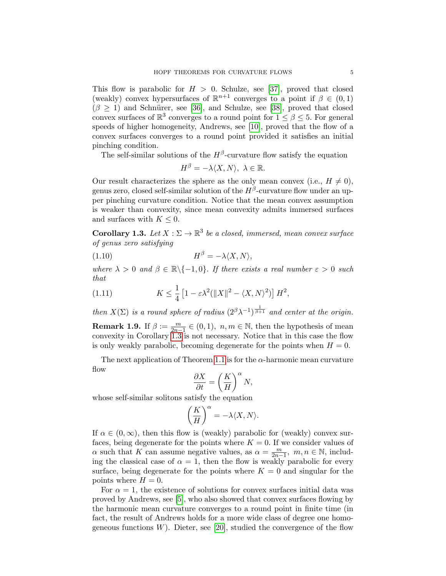This flow is parabolic for  $H > 0$ . Schulze, see [\[37\]](#page-21-9), proved that closed (weakly) convex hypersurfaces of  $\mathbb{R}^{n+1}$  converges to a point if  $\beta \in (0,1)$  $(\beta \geq 1)$  and Schnürer, see [\[36\]](#page-21-10), and Schulze, see [\[38\]](#page-21-11), proved that closed convex surfaces of  $\mathbb{R}^3$  converges to a round point for  $1 \leq \beta \leq 5$ . For general speeds of higher homogeneity, Andrews, see [\[10\]](#page-20-3), proved that the flow of a convex surfaces converges to a round point provided it satisfies an initial pinching condition.

The self-similar solutions of the  $H^{\beta}$ -curvature flow satisfy the equation

<span id="page-4-1"></span>
$$
H^{\beta}=-\lambda\langle X,N\rangle, \,\,\lambda\in\mathbb{R}.
$$

Our result characterizes the sphere as the only mean convex (i.e.,  $H \neq 0$ ), genus zero, closed self-similar solution of the  $H^{\beta}$ -curvature flow under an upper pinching curvature condition. Notice that the mean convex assumption is weaker than convexity, since mean convexity admits immersed surfaces and surfaces with  $K \leq 0$ .

<span id="page-4-0"></span>**Corollary 1.3.** Let  $X : \Sigma \to \mathbb{R}^3$  be a closed, immersed, mean convex surface of genus zero satisfying

$$
(1.10)\t\t\t H^{\beta} = -\lambda \langle X, N \rangle,
$$

where  $\lambda > 0$  and  $\beta \in \mathbb{R} \setminus \{-1, 0\}$ . If there exists a real number  $\varepsilon > 0$  such that

(1.11) 
$$
K \leq \frac{1}{4} \left[ 1 - \varepsilon \lambda^2 (\|X\|^2 - \langle X, N \rangle^2) \right] H^2,
$$

then  $X(\Sigma)$  is a round sphere of radius  $(2^{\beta}\lambda^{-1})^{\frac{1}{\beta+1}}$  and center at the origin.

**Remark 1.9.** If  $\beta := \frac{m}{2n-1} \in (0,1)$ ,  $n, m \in \mathbb{N}$ , then the hypothesis of mean convexity in Corollary [1.3](#page-4-0) is not necessary. Notice that in this case the flow is only weakly parabolic, becoming degenerate for the points when  $H = 0$ .

The next application of Theorem [1.1](#page-1-2) is for the  $\alpha$ -harmonic mean curvature flow

$$
\frac{\partial X}{\partial t} = \left(\frac{K}{H}\right)^{\alpha} N,
$$

whose self-similar solitons satisfy the equation

$$
\left(\frac{K}{H}\right)^{\alpha}=-\lambda\langle X,N\rangle.
$$

If  $\alpha \in (0,\infty)$ , then this flow is (weakly) parabolic for (weakly) convex surfaces, being degenerate for the points where  $K = 0$ . If we consider values of  $\alpha$  such that K can assume negative values, as  $\alpha = \frac{m}{2n-1}$ ,  $m, n \in \mathbb{N}$ , including the classical case of  $\alpha = 1$ , then the flow is weakly parabolic for every surface, being degenerate for the points where  $K = 0$  and singular for the points where  $H = 0$ .

For  $\alpha = 1$ , the existence of solutions for convex surfaces initial data was proved by Andrews, see [\[5\]](#page-20-0), who also showed that convex surfaces flowing by the harmonic mean curvature converges to a round point in finite time (in fact, the result of Andrews holds for a more wide class of degree one homogeneous functions  $W$ ). Dieter, see [\[20\]](#page-20-6), studied the convergence of the flow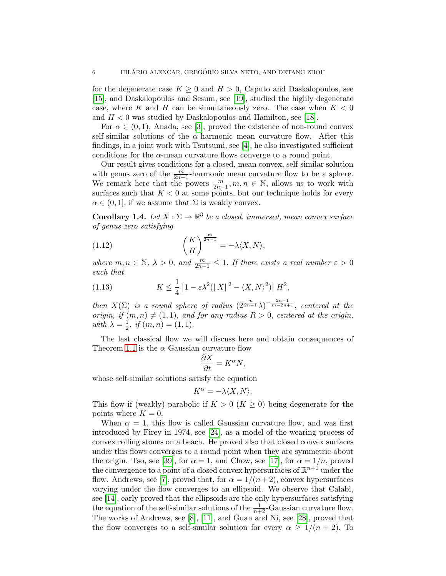for the degenerate case  $K \geq 0$  and  $H > 0$ , Caputo and Daskalopoulos, see [\[15\]](#page-20-7), and Daskalopoulos and Sesum, see [\[19\]](#page-20-8), studied the highly degenerate case, where K and H can be simultaneously zero. The case when  $K < 0$ and  $H < 0$  was studied by Daskalopoulos and Hamilton, see [\[18\]](#page-20-9).

For  $\alpha \in (0,1)$ , Anada, see [\[3\]](#page-19-1), proved the existence of non-round convex self-similar solutions of the  $\alpha$ -harmonic mean curvature flow. After this findings, in a joint work with Tsutsumi, see [\[4\]](#page-20-10), he also investigated sufficient conditions for the  $\alpha$ -mean curvature flows converge to a round point.

Our result gives conditions for a closed, mean convex, self-similar solution with genus zero of the  $\frac{m}{2n-1}$ -harmonic mean curvature flow to be a sphere. We remark here that the powers  $\frac{m}{2n-1}$ ,  $m, n \in \mathbb{N}$ , allows us to work with surfaces such that  $K < 0$  at some points, but our technique holds for every  $\alpha \in (0, 1]$ , if we assume that  $\Sigma$  is weakly convex.

<span id="page-5-0"></span>**Corollary 1.4.** Let  $X : \Sigma \to \mathbb{R}^3$  be a closed, immersed, mean convex surface of genus zero satisfying

(1.12) 
$$
\left(\frac{K}{H}\right)^{\frac{m}{2n-1}} = -\lambda \langle X, N \rangle,
$$

where  $m, n \in \mathbb{N}, \ \lambda > 0$ , and  $\frac{m}{2n-1} \leq 1$ . If there exists a real number  $\varepsilon > 0$ such that

(1.13) 
$$
K \leq \frac{1}{4} \left[ 1 - \varepsilon \lambda^2 (\|X\|^2 - \langle X, N \rangle^2) \right] H^2,
$$

then  $X(\Sigma)$  is a round sphere of radius  $(2^{\frac{m}{2n-1}}\lambda)^{-\frac{2n-1}{m-2n+1}}$ , centered at the origin, if  $(m, n) \neq (1, 1)$ , and for any radius  $R > 0$ , centered at the origin, with  $\lambda = \frac{1}{2}$  $\frac{1}{2}$ , if  $(m, n) = (1, 1)$ .

The last classical flow we will discuss here and obtain consequences of Theorem [1.1](#page-1-2) is the  $\alpha$ -Gaussian curvature flow

$$
\frac{\partial X}{\partial t} = K^{\alpha} N,
$$

whose self-similar solutions satisfy the equation

$$
K^{\alpha} = -\lambda \langle X, N \rangle.
$$

This flow if (weakly) parabolic if  $K > 0$  ( $K \geq 0$ ) being degenerate for the points where  $K = 0$ .

When  $\alpha = 1$ , this flow is called Gaussian curvature flow, and was first introduced by Firey in 1974, see [\[24\]](#page-20-11), as a model of the wearing process of convex rolling stones on a beach. He proved also that closed convex surfaces under this flows converges to a round point when they are symmetric about the origin. Tso, see [\[39\]](#page-21-12), for  $\alpha = 1$ , and Chow, see [\[17\]](#page-20-12), for  $\alpha = 1/n$ , proved the convergence to a point of a closed convex hypersurfaces of  $\mathbb{R}^{n+1}$  under the flow. Andrews, see [\[7\]](#page-20-13), proved that, for  $\alpha = 1/(n+2)$ , convex hypersurfaces varying under the flow converges to an ellipsoid. We observe that Calabi, see [\[14\]](#page-20-14), early proved that the ellipsoids are the only hypersurfaces satisfying the equation of the self-similar solutions of the  $\frac{1}{n+2}$ -Gaussian curvature flow. The works of Andrews, see [\[8\]](#page-20-15), [\[11\]](#page-20-16), and Guan and Ni, see [\[28\]](#page-21-13), proved that the flow converges to a self-similar solution for every  $\alpha \geq 1/(n+2)$ . To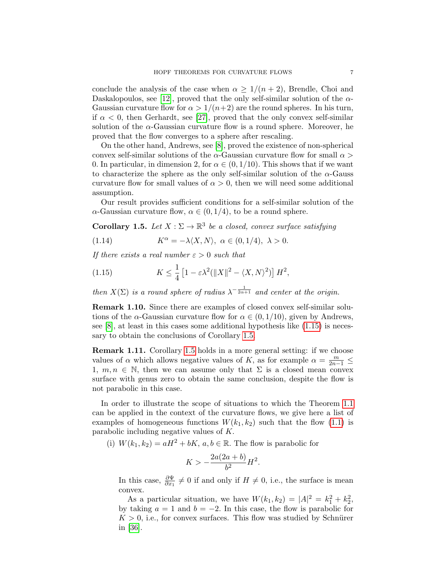conclude the analysis of the case when  $\alpha \geq 1/(n+2)$ , Brendle, Choi and Daskalopoulos, see [\[12\]](#page-20-17), proved that the only self-similar solution of the  $\alpha$ -Gaussian curvature flow for  $\alpha > 1/(n+2)$  are the round spheres. In his turn, if  $\alpha$  < 0, then Gerhardt, see [\[27\]](#page-21-14), proved that the only convex self-similar solution of the  $\alpha$ -Gaussian curvature flow is a round sphere. Moreover, he proved that the flow converges to a sphere after rescaling.

On the other hand, Andrews, see [\[8\]](#page-20-15), proved the existence of non-spherical convex self-similar solutions of the  $\alpha$ -Gaussian curvature flow for small  $\alpha$ 0. In particular, in dimension 2, for  $\alpha \in (0, 1/10)$ . This shows that if we want to characterize the sphere as the only self-similar solution of the  $\alpha$ -Gauss curvature flow for small values of  $\alpha > 0$ , then we will need some additional assumption.

Our result provides sufficient conditions for a self-similar solution of the  $\alpha$ -Gaussian curvature flow,  $\alpha \in (0, 1/4)$ , to be a round sphere.

<span id="page-6-1"></span>**Corollary 1.5.** Let  $X : \Sigma \to \mathbb{R}^3$  be a closed, convex surface satisfying

(1.14) 
$$
K^{\alpha} = -\lambda \langle X, N \rangle, \ \alpha \in (0, 1/4), \ \lambda > 0.
$$

If there exists a real number  $\varepsilon > 0$  such that

<span id="page-6-0"></span>(1.15) 
$$
K \leq \frac{1}{4} \left[ 1 - \varepsilon \lambda^2 (\|X\|^2 - \langle X, N \rangle^2) \right] H^2,
$$

then  $X(\Sigma)$  is a round sphere of radius  $\lambda^{-\frac{1}{2\alpha+1}}$  and center at the origin.

Remark 1.10. Since there are examples of closed convex self-similar solutions of the  $\alpha$ -Gaussian curvature flow for  $\alpha \in (0, 1/10)$ , given by Andrews, see  $[8]$ , at least in this cases some additional hypothesis like  $(1.15)$  is necessary to obtain the conclusions of Corollary [1.5.](#page-6-1)

Remark 1.11. Corollary [1.5](#page-6-1) holds in a more general setting: if we choose values of  $\alpha$  which allows negative values of K, as for example  $\alpha = \frac{m}{2n-1} \leq$ 1,  $m, n \in \mathbb{N}$ , then we can assume only that  $\Sigma$  is a closed mean convex surface with genus zero to obtain the same conclusion, despite the flow is not parabolic in this case.

In order to illustrate the scope of situations to which the Theorem [1.1](#page-1-2) can be applied in the context of the curvature flows, we give here a list of examples of homogeneous functions  $W(k_1, k_2)$  such that the flow [\(1.1\)](#page-0-0) is parabolic including negative values of K.

(i)  $W(k_1, k_2) = aH^2 + bK$ ,  $a, b \in \mathbb{R}$ . The flow is parabolic for

$$
K > -\frac{2a(2a+b)}{b^2}H^2.
$$

In this case,  $\frac{\partial \Psi}{\partial x_1} \neq 0$  if and only if  $H \neq 0$ , i.e., the surface is mean convex.

As a particular situation, we have  $W(k_1, k_2) = |A|^2 = k_1^2 + k_2^2$ , by taking  $a = 1$  and  $b = -2$ . In this case, the flow is parabolic for  $K > 0$ , i.e., for convex surfaces. This flow was studied by Schnürer in [\[36\]](#page-21-10).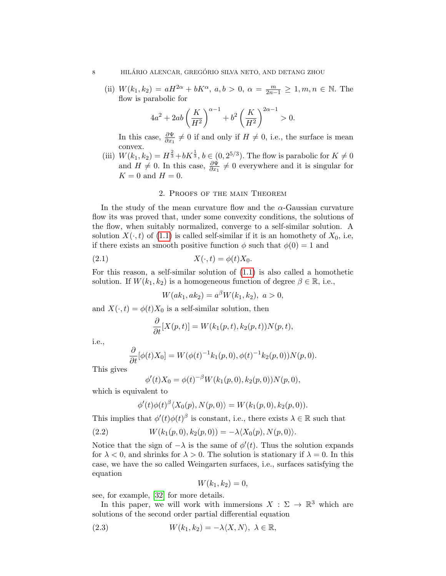(ii)  $W(k_1, k_2) = aH^{2\alpha} + bK^{\alpha}, \ a, b > 0, \ \alpha = \frac{m}{2n-1} \ge 1, m, n \in \mathbb{N}.$  The flow is parabolic for

$$
4a^{2} + 2ab\left(\frac{K}{H^{2}}\right)^{\alpha - 1} + b^{2}\left(\frac{K}{H^{2}}\right)^{2\alpha - 1} > 0.
$$

In this case,  $\frac{\partial \Psi}{\partial x_1} \neq 0$  if and only if  $H \neq 0$ , i.e., the surface is mean convex.

(iii)  $W(k_1, k_2) = H^{\frac{2}{3}} + bK^{\frac{1}{3}}, b \in (0, 2^{5/3})$ . The flow is parabolic for  $K \neq 0$ and  $H \neq 0$ . In this case,  $\frac{\partial \Psi}{\partial x_1} \neq 0$  everywhere and it is singular for  $K = 0$  and  $H = 0$ .

## 2. Proofs of the main Theorem

In the study of the mean curvature flow and the  $\alpha$ -Gaussian curvature flow its was proved that, under some convexity conditions, the solutions of the flow, when suitably normalized, converge to a self-similar solution. A solution  $X(\cdot, t)$  of [\(1.1\)](#page-0-0) is called self-similar if it is an homothety of  $X_0$ , i.e, if there exists an smooth positive function  $\phi$  such that  $\phi(0) = 1$  and

$$
(2.1) \t\t X(\cdot,t) = \phi(t)X_0.
$$

For this reason, a self-similar solution of [\(1.1\)](#page-0-0) is also called a homothetic solution. If  $W(k_1, k_2)$  is a homogeneous function of degree  $\beta \in \mathbb{R}$ , i.e.,

$$
W(ak_1, ak_2) = a^{\beta} W(k_1, k_2), \ a > 0,
$$

and  $X(\cdot, t) = \phi(t)X_0$  is a self-similar solution, then

$$
\frac{\partial}{\partial t}[X(p,t)] = W(k_1(p,t), k_2(p,t))N(p,t),
$$

i.e.,

$$
\frac{\partial}{\partial t}[\phi(t)X_0] = W(\phi(t)^{-1}k_1(p,0), \phi(t)^{-1}k_2(p,0))N(p,0).
$$

This gives

$$
\phi'(t)X_0 = \phi(t)^{-\beta}W(k_1(p,0), k_2(p,0))N(p,0),
$$

which is equivalent to

$$
\phi'(t)\phi(t)^{\beta}\langle X_0(p), N(p,0)\rangle = W(k_1(p,0), k_2(p,0)).
$$

This implies that  $\phi'(t)\phi(t)$ <sup>β</sup> is constant, i.e., there exists  $\lambda \in \mathbb{R}$  such that

(2.2) 
$$
W(k_1(p,0), k_2(p,0)) = -\lambda \langle X_0(p), N(p,0) \rangle.
$$

Notice that the sign of  $-\lambda$  is the same of  $\phi'(t)$ . Thus the solution expands for  $\lambda < 0$ , and shrinks for  $\lambda > 0$ . The solution is stationary if  $\lambda = 0$ . In this case, we have the so called Weingarten surfaces, i.e., surfaces satisfying the equation

$$
W(k_1,k_2)=0,
$$

see, for example, [\[32\]](#page-21-4) for more details.

In this paper, we will work with immersions  $X : \Sigma \to \mathbb{R}^3$  which are solutions of the second order partial differential equation

(2.3) 
$$
W(k_1, k_2) = -\lambda \langle X, N \rangle, \ \lambda \in \mathbb{R},
$$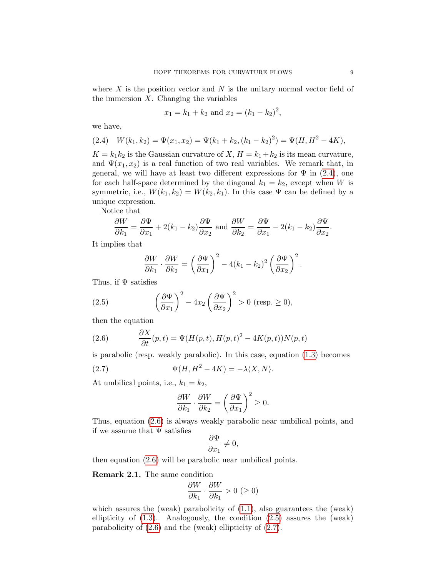where  $X$  is the position vector and  $N$  is the unitary normal vector field of the immersion  $X$ . Changing the variables

$$
x_1 = k_1 + k_2
$$
 and  $x_2 = (k_1 - k_2)^2$ ,

we have,

<span id="page-8-0"></span>(2.4) 
$$
W(k_1, k_2) = \Psi(x_1, x_2) = \Psi(k_1 + k_2, (k_1 - k_2)^2) = \Psi(H, H^2 - 4K),
$$

 $K = k_1 k_2$  is the Gaussian curvature of  $X, H = k_1 + k_2$  is its mean curvature, and  $\Psi(x_1, x_2)$  is a real function of two real variables. We remark that, in general, we will have at least two different expressions for  $\Psi$  in [\(2.4\)](#page-8-0), one for each half-space determined by the diagonal  $k_1 = k_2$ , except when W is symmetric, i.e.,  $W(k_1, k_2) = W(k_2, k_1)$ . In this case  $\Psi$  can be defined by a unique expression.

Notice that

$$
\frac{\partial W}{\partial k_1} = \frac{\partial \Psi}{\partial x_1} + 2(k_1 - k_2) \frac{\partial \Psi}{\partial x_2}
$$
 and 
$$
\frac{\partial W}{\partial k_2} = \frac{\partial \Psi}{\partial x_1} - 2(k_1 - k_2) \frac{\partial \Psi}{\partial x_2}.
$$

It implies that

<span id="page-8-2"></span>
$$
\frac{\partial W}{\partial k_1} \cdot \frac{\partial W}{\partial k_2} = \left(\frac{\partial \Psi}{\partial x_1}\right)^2 - 4(k_1 - k_2)^2 \left(\frac{\partial \Psi}{\partial x_2}\right)^2.
$$

Thus, if  $\Psi$  satisfies

(2.5) 
$$
\left(\frac{\partial \Psi}{\partial x_1}\right)^2 - 4x_2 \left(\frac{\partial \Psi}{\partial x_2}\right)^2 > 0 \text{ (resp. } \ge 0),
$$

then the equation

<span id="page-8-1"></span>(2.6) 
$$
\frac{\partial X}{\partial t}(p,t) = \Psi(H(p,t), H(p,t)^2 - 4K(p,t))N(p,t)
$$

is parabolic (resp. weakly parabolic). In this case, equation [\(1.3\)](#page-1-0) becomes

(2.7) 
$$
\Psi(H, H^2 - 4K) = -\lambda \langle X, N \rangle.
$$

At umbilical points, i.e.,  $k_1 = k_2$ ,

<span id="page-8-3"></span>
$$
\frac{\partial W}{\partial k_1} \cdot \frac{\partial W}{\partial k_2} = \left(\frac{\partial \Psi}{\partial x_1}\right)^2 \ge 0.
$$

Thus, equation [\(2.6\)](#page-8-1) is always weakly parabolic near umbilical points, and if we assume that  $\Psi$  satisfies

$$
\frac{\partial \Psi}{\partial x_1} \neq 0,
$$

then equation [\(2.6\)](#page-8-1) will be parabolic near umbilical points.

Remark 2.1. The same condition

$$
\frac{\partial W}{\partial k_1} \cdot \frac{\partial W}{\partial k_1} > 0 \ (\geq 0)
$$

which assures the (weak) parabolicity of  $(1.1)$ , also guarantees the (weak) ellipticity of  $(1.3)$ . Analogously, the condition  $(2.5)$  assures the (weak) parabolicity of [\(2.6\)](#page-8-1) and the (weak) ellipticity of [\(2.7\)](#page-8-3).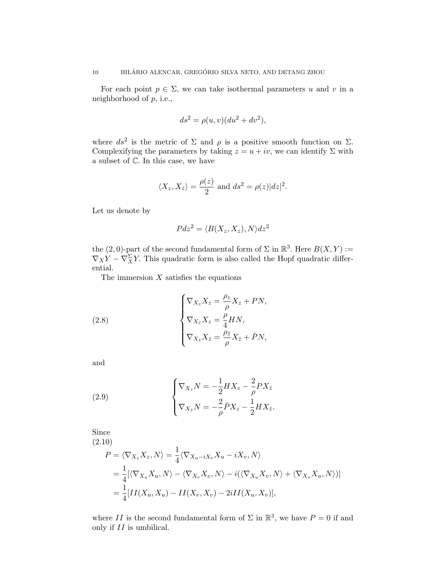For each point  $p \in \Sigma$ , we can take isothermal parameters u and v in a neighborhood of  $p$ , i.e.,

$$
ds^2 = \rho(u, v)(du^2 + dv^2),
$$

where  $ds^2$  is the metric of  $\Sigma$  and  $\rho$  is a positive smooth function on  $\Sigma$ . Complexifying the parameters by taking  $z = u + iv$ , we can identify  $\Sigma$  with a subset of C. In this case, we have

$$
\langle X_z, X_{\bar{z}} \rangle = \frac{\rho(z)}{2}
$$
 and  $ds^2 = \rho(z)|dz|^2$ .

Let us denote by

$$
Pdz^2 = \langle B(X_z, X_z), N \rangle dz^2
$$

the (2,0)-part of the second fundamental form of  $\Sigma$  in  $\mathbb{R}^3$ . Here  $B(X, Y) :=$  $\nabla_X Y - \nabla_X^{\Sigma} Y$ . This quadratic form is also called the Hopf quadratic differential.

The immersion  $X$  satisfies the equations

(2.8) 
$$
\begin{cases} \nabla_{X_z} X_z = \frac{\rho_z}{\rho} X_z + P N, \\ \nabla_{X_{\bar{z}}} X_z = \frac{\rho}{4} H N, \\ \nabla_{X_{\bar{z}}} X_{\bar{z}} = \frac{\rho_{\bar{z}}}{\rho} X_{\bar{z}} + \bar{P} N, \end{cases}
$$

and

(2.9) 
$$
\begin{cases} \nabla_{X_z} N = -\frac{1}{2} H X_z - \frac{2}{\rho} P X_{\bar{z}} \\ \nabla_{X_{\bar{z}}} N = -\frac{2}{\rho} \bar{P} X_z - \frac{1}{2} H X_{\bar{z}}. \end{cases}
$$

Since (2.10)

<span id="page-9-0"></span>
$$
P = \langle \nabla_{X_z} X_z, N \rangle = \frac{1}{4} \langle \nabla_{X_u - iX_v} X_u - iX_v, N \rangle
$$
  
= 
$$
\frac{1}{4} [\langle \nabla_{X_u} X_u, N \rangle - \langle \nabla_{X_v} X_v, N \rangle - i(\langle \nabla_{X_u} X_v, N \rangle + \langle \nabla_{X_v} X_u, N \rangle)]
$$
  
= 
$$
\frac{1}{4} [II(X_u, X_u) - II(X_v, X_v) - 2iII(X_u, X_v)],
$$

where II is the second fundamental form of  $\Sigma$  in  $\mathbb{R}^3$ , we have  $P=0$  if and only if II is umbilical.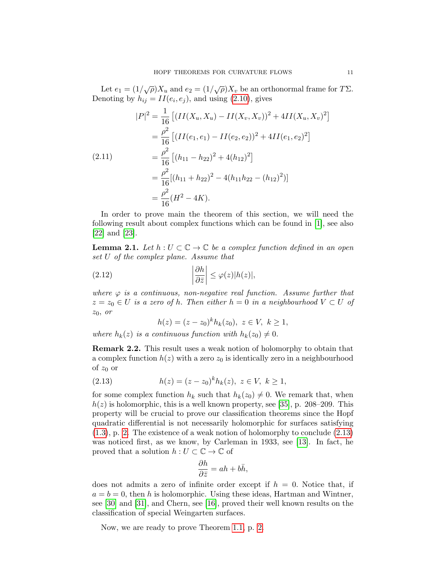Let  $e_1 = (1/\sqrt{\rho})X_u$  and  $e_2 = (1/\sqrt{\rho})X_v$  be an orthonormal frame for  $T\Sigma$ . Denoting by  $h_{ij} = II(e_i, e_j)$ , and using [\(2.10\)](#page-9-0), gives

<span id="page-10-1"></span>
$$
|P|^2 = \frac{1}{16} \left[ (II(X_u, X_u) - II(X_v, X_v))^2 + 4II(X_u, X_v)^2 \right]
$$
  
=  $\frac{\rho^2}{16} \left[ (II(e_1, e_1) - II(e_2, e_2))^2 + 4II(e_1, e_2)^2 \right]$   
=  $\frac{\rho^2}{16} \left[ (h_{11} - h_{22})^2 + 4(h_{12})^2 \right]$   
=  $\frac{\rho^2}{16} [(h_{11} + h_{22})^2 - 4(h_{11}h_{22} - (h_{12})^2)]$   
=  $\frac{\rho^2}{16} (H^2 - 4K).$ 

In order to prove main the theorem of this section, we will need the following result about complex functions which can be found in [\[1\]](#page-19-2), see also [\[22\]](#page-20-18) and [\[23\]](#page-20-19).

<span id="page-10-2"></span>**Lemma 2.1.** Let  $h: U \subset \mathbb{C} \to \mathbb{C}$  be a complex function defined in an open set U of the complex plane. Assume that

(2.12) 
$$
\left|\frac{\partial h}{\partial \bar{z}}\right| \leq \varphi(z)|h(z)|,
$$

where  $\varphi$  is a continuous, non-negative real function. Assume further that  $z = z_0 \in U$  is a zero of h. Then either  $h = 0$  in a neighbourhood  $V \subset U$  of  $z_0$ , or

<span id="page-10-0"></span>
$$
h(z) = (z - z_0)^k h_k(z_0), \ z \in V, \ k \ge 1,
$$

where  $h_k(z)$  is a continuous function with  $h_k(z_0) \neq 0$ .

Remark 2.2. This result uses a weak notion of holomorphy to obtain that a complex function  $h(z)$  with a zero  $z_0$  is identically zero in a neighbourhood of  $z_0$  or

(2.13) 
$$
h(z) = (z - z_0)^k h_k(z), \ z \in V, \ k \ge 1,
$$

for some complex function  $h_k$  such that  $h_k(z_0) \neq 0$ . We remark that, when  $h(z)$  is holomorphic, this is a well known property, see [\[35\]](#page-21-15), p. 208–209. This property will be crucial to prove our classification theorems since the Hopf quadratic differential is not necessarily holomorphic for surfaces satisfying [\(1.3\)](#page-1-0), p. [2.](#page-1-0) The existence of a weak notion of holomorphy to conclude [\(2.13\)](#page-10-0) was noticed first, as we know, by Carleman in 1933, see [\[13\]](#page-20-20). In fact, he proved that a solution  $h: U \subset \mathbb{C} \to \mathbb{C}$  of

$$
\frac{\partial h}{\partial \bar{z}} = ah + b\bar{h},
$$

does not admits a zero of infinite order except if  $h = 0$ . Notice that, if  $a = b = 0$ , then h is holomorphic. Using these ideas, Hartman and Wintner, see [\[30\]](#page-21-16) and [\[31\]](#page-21-6), and Chern, see [\[16\]](#page-20-4), proved their well known results on the classification of special Weingarten surfaces.

Now, we are ready to prove Theorem [1.1,](#page-1-2) p. [2.](#page-1-2)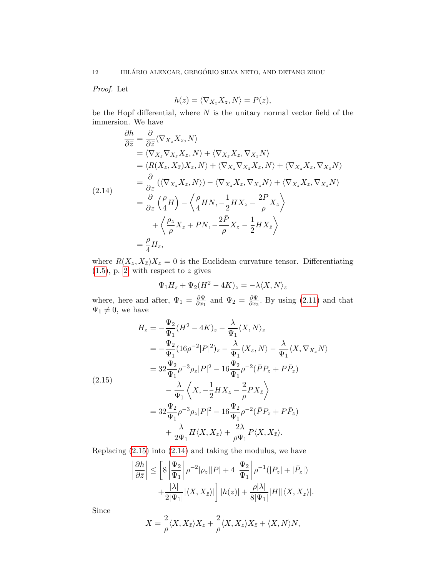Proof. Let

$$
h(z) = \langle \nabla_{X_z} X_z, N \rangle = P(z),
$$

be the Hopf differential, where  $N$  is the unitary normal vector field of the immersion. We have

<span id="page-11-1"></span>
$$
\frac{\partial h}{\partial \bar{z}} = \frac{\partial}{\partial \bar{z}} \langle \nabla_{X_z} X_z, N \rangle
$$
\n
$$
= \langle \nabla_{X_{\bar{z}}} \nabla_{X_z} X_z, N \rangle + \langle \nabla_{X_z} X_z, \nabla_{X_{\bar{z}}} N \rangle
$$
\n
$$
= \langle R(X_z, X_{\bar{z}}) X_z, N \rangle + \langle \nabla_{X_z} \nabla_{X_{\bar{z}}} X_z, N \rangle + \langle \nabla_{X_z} X_z, \nabla_{X_{\bar{z}}} N \rangle
$$
\n
$$
= \frac{\partial}{\partial z} (\langle \nabla_{X_{\bar{z}}} X_z, N \rangle) - \langle \nabla_{X_{\bar{z}}} X_z, \nabla_{X_z} N \rangle + \langle \nabla_{X_z} X_z, \nabla_{X_{\bar{z}}} N \rangle
$$
\n
$$
= \frac{\partial}{\partial z} (\frac{\rho}{4} H) - \langle \frac{\rho}{4} H N, -\frac{1}{2} H X_z - \frac{2P}{\rho} X_{\bar{z}} \rangle
$$
\n
$$
+ \langle \frac{\rho_z}{\rho} X_z + PN, -\frac{2P}{\rho} X_z - \frac{1}{2} H X_{\bar{z}} \rangle
$$
\n
$$
= \frac{\rho}{4} H_z,
$$

where  $R(X_z, X_{\bar{z}})X_z = 0$  is the Euclidean curvature tensor. Differentiating  $(1.5)$ , p. [2,](#page-1-3) with respect to z gives

$$
\Psi_1 H_z + \Psi_2 (H^2 - 4K)_z = -\lambda \langle X, N \rangle_z
$$

where, here and after,  $\Psi_1 = \frac{\partial \Psi}{\partial x_1}$  $\frac{\partial \Psi}{\partial x_1}$  and  $\Psi_2 = \frac{\partial \Psi}{\partial x_2}$  $\frac{\partial \Psi}{\partial x_2}$ . By using [\(2.11\)](#page-10-1) and that  $\Psi_1 \neq 0$ , we have

<span id="page-11-0"></span>
$$
H_z = -\frac{\Psi_2}{\Psi_1} (H^2 - 4K)_z - \frac{\lambda}{\Psi_1} \langle X, N \rangle_z
$$
  
\n
$$
= -\frac{\Psi_2}{\Psi_1} (16\rho^{-2} |P|^2)_z - \frac{\lambda}{\Psi_1} \langle X_z, N \rangle - \frac{\lambda}{\Psi_1} \langle X, \nabla_{X_z} N \rangle
$$
  
\n
$$
= 32 \frac{\Psi_2}{\Psi_1} \rho^{-3} \rho_z |P|^2 - 16 \frac{\Psi_2}{\Psi_1} \rho^{-2} (\bar{P} P_z + P \bar{P}_z)
$$
  
\n(2.15)  
\n
$$
- \frac{\lambda}{\Psi_1} \left\langle X, -\frac{1}{2} H X_z - \frac{2}{\rho} P X_{\bar{z}} \right\rangle
$$
  
\n
$$
= 32 \frac{\Psi_2}{\Psi_1} \rho^{-3} \rho_z |P|^2 - 16 \frac{\Psi_2}{\Psi_1} \rho^{-2} (\bar{P} P_z + P \bar{P}_z)
$$
  
\n
$$
+ \frac{\lambda}{2\Psi_1} H \langle X, X_z \rangle + \frac{2\lambda}{\rho \Psi_1} P \langle X, X_{\bar{z}} \rangle.
$$

Replacing [\(2.15\)](#page-11-0) into [\(2.14\)](#page-11-1) and taking the modulus, we have

$$
\left|\frac{\partial h}{\partial \bar{z}}\right| \le \left[8\left|\frac{\Psi_2}{\Psi_1}\right| \rho^{-2}|\rho_z||P| + 4\left|\frac{\Psi_2}{\Psi_1}\right| \rho^{-1}(|P_z| + |\bar{P}_z|) + \frac{|\lambda|}{2|\Psi_1|}|\langle X, X_{\bar{z}}\rangle|\right] |h(z)| + \frac{\rho|\lambda|}{8|\Psi_1|} |H||\langle X, X_z\rangle|.
$$

Since

$$
X = \frac{2}{\rho} \langle X, X_{\bar{z}} \rangle X_z + \frac{2}{\rho} \langle X, X_z \rangle X_{\bar{z}} + \langle X, N \rangle N,
$$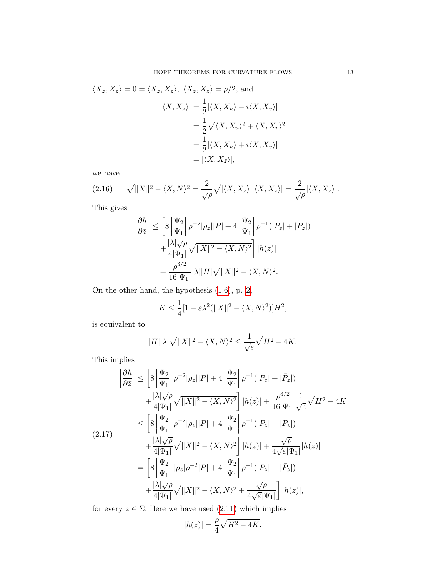$$
\langle X_z, X_z \rangle = 0 = \langle X_{\bar{z}}, X_{\bar{z}} \rangle, \ \langle X_z, X_{\bar{z}} \rangle = \rho/2, \text{ and}
$$

$$
|\langle X, X_z \rangle| = \frac{1}{2} |\langle X, X_u \rangle - i \langle X, X_v \rangle|
$$

$$
= \frac{1}{2} \sqrt{\langle X, X_u \rangle^2 + \langle X, X_v \rangle^2}
$$

$$
= \frac{1}{2} |\langle X, X_u \rangle + i \langle X, X_v \rangle|
$$

$$
= |\langle X, X_{\bar{z}} \rangle|,
$$

we have

$$
(2.16)\qquad \sqrt{\|X\|^2 - \langle X, N \rangle^2} = \frac{2}{\sqrt{\rho}} \sqrt{\langle X, X_z \rangle \|\langle X, X_{\bar{z}} \rangle\|} = \frac{2}{\sqrt{\rho}} |\langle X, X_z \rangle|.
$$

This gives

 $\begin{array}{c} \hline \end{array}$ 

$$
\frac{\partial h}{\partial \bar{z}} \bigg| \le \bigg[ 8 \bigg| \frac{\Psi_2}{\Psi_1} \bigg| \rho^{-2} |\rho_z| |P| + 4 \bigg| \frac{\Psi_2}{\Psi_1} \bigg| \rho^{-1} (|P_z| + |\bar{P}_z|)
$$
  
+ 
$$
\frac{|\lambda| \sqrt{\rho}}{4|\Psi_1|} \sqrt{\|X\|^2 - \langle X, N \rangle^2} \bigg] |h(z)|
$$
  
+ 
$$
\frac{\rho^{3/2}}{16|\Psi_1|} |\lambda| |H| \sqrt{\|X\|^2 - \langle X, N \rangle^2}.
$$

On the other hand, the hypothesis [\(1.6\)](#page-1-1), p. [2,](#page-1-1)

$$
K \le \frac{1}{4} [1 - \varepsilon \lambda^2 (\|X\|^2 - \langle X, N \rangle^2)] H^2,
$$

is equivalent to

$$
|H||\lambda|\sqrt{||X||^2 - \langle X, N\rangle^2} \le \frac{1}{\sqrt{\varepsilon}}\sqrt{H^2 - 4K}.
$$

This implies

$$
\left| \frac{\partial h}{\partial \bar{z}} \right| \leq \left[ 8 \left| \frac{\Psi_2}{\Psi_1} \right| \rho^{-2} |\rho_z| |P| + 4 \left| \frac{\Psi_2}{\Psi_1} \right| \rho^{-1} (|P_z| + |\bar{P}_z|)
$$
  
+ 
$$
\frac{|\lambda| \sqrt{\rho}}{4|\Psi_1|} \sqrt{\|X\|^2 - \langle X, N \rangle^2} \right] |h(z)| + \frac{\rho^{3/2}}{16|\Psi_1|} \frac{1}{\sqrt{\varepsilon}} \sqrt{H^2 - 4K}
$$
  

$$
\leq \left[ 8 \left| \frac{\Psi_2}{\Psi_1} \right| \rho^{-2} |\rho_z| |P| + 4 \left| \frac{\Psi_2}{\Psi_1} \right| \rho^{-1} (|P_z| + |\bar{P}_z|)
$$
  
+ 
$$
\frac{|\lambda| \sqrt{\rho}}{4|\Psi_1|} \sqrt{\|X\|^2 - \langle X, N \rangle^2} \right] |h(z)| + \frac{\sqrt{\rho}}{4\sqrt{\varepsilon} |\Psi_1|} |h(z)|
$$
  
= 
$$
\left[ 8 \left| \frac{\Psi_2}{\Psi_1} \right| |\rho_z| \rho^{-2} |P| + 4 \left| \frac{\Psi_2}{\Psi_1} \right| \rho^{-1} (|P_z| + |\bar{P}_z|)
$$
  
+ 
$$
\frac{|\lambda| \sqrt{\rho}}{4|\Psi_1|} \sqrt{\|X\|^2 - \langle X, N \rangle^2} + \frac{\sqrt{\rho}}{4\sqrt{\varepsilon} |\Psi_1|} |h(z)|,
$$

for every  $z \in \Sigma$ . Here we have used  $(2.11)$  which implies

$$
|h(z)| = \frac{\rho}{4}\sqrt{H^2 - 4K}.
$$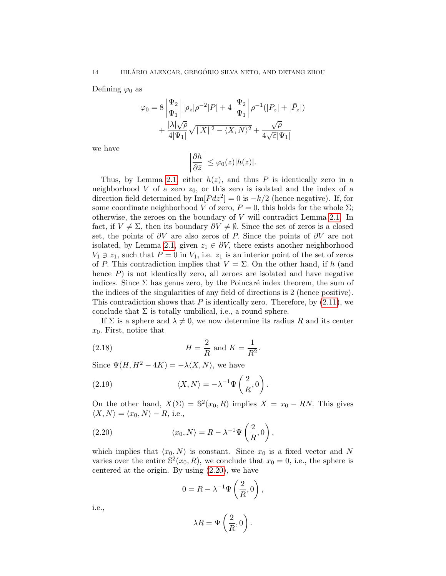Defining  $\varphi_0$  as

$$
\varphi_0 = 8 \left| \frac{\Psi_2}{\Psi_1} \right| |\rho_z| \rho^{-2} |P| + 4 \left| \frac{\Psi_2}{\Psi_1} \right| \rho^{-1} (|P_z| + |\bar{P}_z|)
$$

$$
+ \frac{|\lambda| \sqrt{\rho}}{4|\Psi_1|} \sqrt{\|X\|^2 - \langle X, N \rangle^2} + \frac{\sqrt{\rho}}{4\sqrt{\varepsilon} |\Psi_1|}
$$

we have

$$
\left|\frac{\partial h}{\partial \bar{z}}\right| \leq \varphi_0(z)|h(z)|.
$$

Thus, by Lemma [2.1,](#page-10-2) either  $h(z)$ , and thus P is identically zero in a neighborhood V of a zero  $z_0$ , or this zero is isolated and the index of a direction field determined by  $\text{Im}[P dz^2] = 0$  is  $-k/2$  (hence negative). If, for some coordinate neighborhood V of zero,  $P = 0$ , this holds for the whole  $\Sigma$ ; otherwise, the zeroes on the boundary of V will contradict Lemma [2.1.](#page-10-2) In fact, if  $V \neq \Sigma$ , then its boundary  $\partial V \neq \emptyset$ . Since the set of zeros is a closed set, the points of  $\partial V$  are also zeros of P. Since the points of  $\partial V$  are not isolated, by Lemma [2.1,](#page-10-2) given  $z_1 \in \partial V$ , there exists another neighborhood  $V_1 \ni z_1$ , such that  $P = 0$  in  $V_1$ , i.e.  $z_1$  is an interior point of the set of zeros of P. This contradiction implies that  $V = \Sigma$ . On the other hand, if h (and hence  $P$ ) is not identically zero, all zeroes are isolated and have negative indices. Since  $\Sigma$  has genus zero, by the Poincaré index theorem, the sum of the indices of the singularities of any field of directions is 2 (hence positive). This contradiction shows that  $P$  is identically zero. Therefore, by  $(2.11)$ , we conclude that  $\Sigma$  is totally umbilical, i.e., a round sphere.

If  $\Sigma$  is a sphere and  $\lambda \neq 0$ , we now determine its radius R and its center  $x_0$ . First, notice that

(2.18) 
$$
H = \frac{2}{R} \text{ and } K = \frac{1}{R^2}.
$$

Since  $\Psi(H, H^2 - 4K) = -\lambda \langle X, N \rangle$ , we have

(2.19) 
$$
\langle X, N \rangle = -\lambda^{-1} \Psi\left(\frac{2}{R}, 0\right).
$$

On the other hand,  $X(\Sigma) = \mathbb{S}^2(x_0, R)$  implies  $X = x_0 - RN$ . This gives  $\langle X, N \rangle = \langle x_0, N \rangle - R$ , i.e.,

(2.20) 
$$
\langle x_0, N \rangle = R - \lambda^{-1} \Psi \left( \frac{2}{R}, 0 \right),
$$

which implies that  $\langle x_0, N \rangle$  is constant. Since  $x_0$  is a fixed vector and N varies over the entire  $S^2(x_0, R)$ , we conclude that  $x_0 = 0$ , i.e., the sphere is centered at the origin. By using [\(2.20\)](#page-13-0), we have

<span id="page-13-0"></span>
$$
0 = R - \lambda^{-1} \Psi\left(\frac{2}{R}, 0\right),
$$

i.e.,

$$
\lambda R = \Psi\left(\frac{2}{R}, 0\right).
$$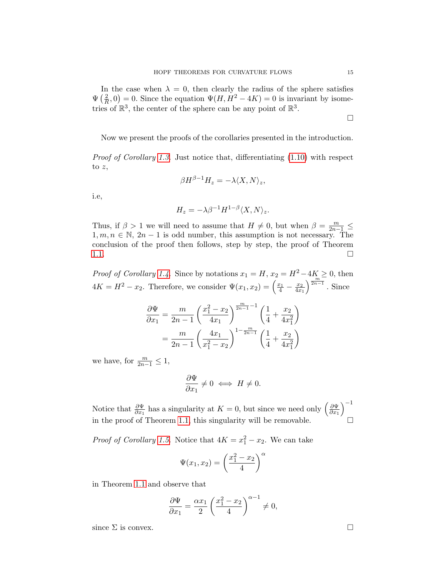In the case when  $\lambda = 0$ , then clearly the radius of the sphere satisfies  $\Psi\left(\frac{2}{R}\right)$  $(\frac{2}{R}, 0) = 0$ . Since the equation  $\Psi(H, H^2 - 4K) = 0$  is invariant by isometries of  $\mathbb{R}^3$ , the center of the sphere can be any point of  $\mathbb{R}^3$ .

Now we present the proofs of the corollaries presented in the introduction.

*Proof of Corollary [1.3.](#page-4-0)* Just notice that, differentiating  $(1.10)$  with respect to  $z$ ,

$$
\beta H^{\beta-1} H_z = -\lambda \langle X, N \rangle_z,
$$

i.e,

$$
H_z = -\lambda \beta^{-1} H^{1-\beta} \langle X, N \rangle_z.
$$

Thus, if  $\beta > 1$  we will need to assume that  $H \neq 0$ , but when  $\beta = \frac{m}{2n-1} \leq$  $1, m, n \in \mathbb{N}, 2n-1$  is odd number, this assumption is not necessary. The conclusion of the proof then follows, step by step, the proof of Theorem [1.1.](#page-1-2)

*Proof of Corollary [1.4.](#page-5-0)* Since by notations  $x_1 = H$ ,  $x_2 = H^2 - 4K \ge 0$ , then  $4K = H^2 - x_2$ . Therefore, we consider  $\Psi(x_1, x_2) = \left(\frac{x_1}{4} - \frac{x_2}{4x}\right)$  $\overline{4x_1}$  $\sqrt{\frac{m}{2n-1}}$ . Since

$$
\frac{\partial \Psi}{\partial x_1} = \frac{m}{2n-1} \left( \frac{x_1^2 - x_2}{4x_1} \right)^{\frac{m}{2n-1}-1} \left( \frac{1}{4} + \frac{x_2}{4x_1^2} \right)
$$

$$
= \frac{m}{2n-1} \left( \frac{4x_1}{x_1^2 - x_2} \right)^{1 - \frac{m}{2n-1}} \left( \frac{1}{4} + \frac{x_2}{4x_1^2} \right)
$$

we have, for  $\frac{m}{2n-1} \leq 1$ ,

$$
\frac{\partial \Psi}{\partial x_1} \neq 0 \iff H \neq 0.
$$

Notice that  $\frac{\partial \Psi}{\partial x_1}$  has a singularity at  $K = 0$ , but since we need only  $\left(\frac{\partial \Psi}{\partial x_1}\right)$  $\overline{\partial x_1}$  $\setminus^{-1}$ in the proof of Theorem [1.1,](#page-1-2) this singularity will be removable.

*Proof of Corollary [1.5.](#page-6-1)* Notice that  $4K = x_1^2 - x_2$ . We can take

$$
\Psi(x_1, x_2) = \left(\frac{x_1^2 - x_2}{4}\right)^{\alpha}
$$

in Theorem [1.1](#page-1-2) and observe that

$$
\frac{\partial \Psi}{\partial x_1} = \frac{\alpha x_1}{2} \left( \frac{x_1^2 - x_2}{4} \right)^{\alpha - 1} \neq 0,
$$

since  $\Sigma$  is convex.

 $\Box$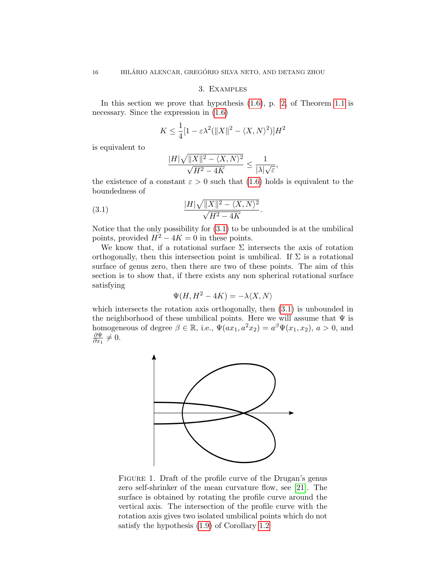## 3. Examples

<span id="page-15-0"></span>In this section we prove that hypothesis  $(1.6)$ , p. [2,](#page-1-1) of Theorem [1.1](#page-1-2) is necessary. Since the expression in [\(1.6\)](#page-1-1)

$$
K \le \frac{1}{4} [1 - \varepsilon \lambda^2 (\|X\|^2 - \langle X, N \rangle^2)] H^2
$$

is equivalent to

<span id="page-15-1"></span>
$$
\frac{|H|\sqrt{\|X\|^2-\langle X,N\rangle^2}}{\sqrt{H^2-4K}}\leq \frac{1}{|\lambda|\sqrt{\varepsilon}},
$$

the existence of a constant  $\varepsilon > 0$  such that [\(1.6\)](#page-1-1) holds is equivalent to the boundedness of

$$
(3.1) \qquad \qquad \frac{|H|\sqrt{\|X\|^2 - \langle X, N \rangle^2}}{\sqrt{H^2 - 4K}}.
$$

Notice that the only possibility for [\(3.1\)](#page-15-1) to be unbounded is at the umbilical points, provided  $H^2 - 4K = 0$  in these points.

We know that, if a rotational surface  $\Sigma$  intersects the axis of rotation orthogonally, then this intersection point is umbilical. If  $\Sigma$  is a rotational surface of genus zero, then there are two of these points. The aim of this section is to show that, if there exists any non spherical rotational surface satisfying

$$
\Psi(H, H^2 - 4K) = -\lambda \langle X, N \rangle
$$

which intersects the rotation axis orthogonally, then  $(3.1)$  is unbounded in the neighborhood of these umbilical points. Here we will assume that  $\Psi$  is homogeneous of degree  $\beta \in \mathbb{R}$ , i.e.,  $\overline{\Psi}(ax_1, a^2x_2) = a^{\beta} \Psi(x_1, x_2), a > 0$ , and ∂Ψ  $\frac{\partial \Psi}{\partial x_1} \neq 0.$ 



FIGURE 1. Draft of the profile curve of the Drugan's genus zero self-shrinker of the mean curvature flow, see [\[21\]](#page-20-5). The surface is obtained by rotating the profile curve around the vertical axis. The intersection of the profile curve with the rotation axis gives two isolated umbilical points which do not satisfy the hypothesis [\(1.9\)](#page-3-0) of Corollary [1.2](#page-3-1)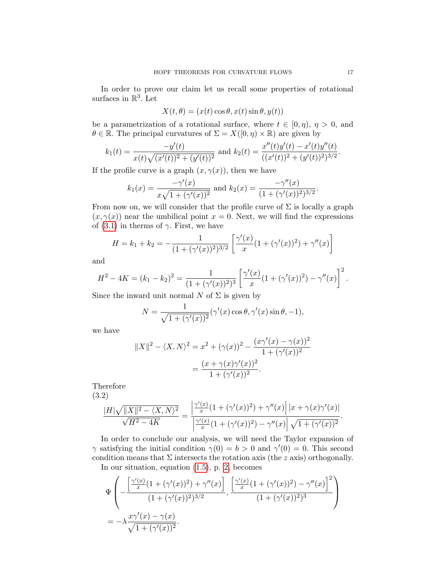In order to prove our claim let us recall some properties of rotational surfaces in  $\mathbb{R}^3$ . Let

$$
X(t, \theta) = (x(t)\cos\theta, x(t)\sin\theta, y(t))
$$

be a parametrization of a rotational surface, where  $t \in [0, \eta)$ ,  $\eta > 0$ , and  $\theta \in \mathbb{R}$ . The principal curvatures of  $\Sigma = X([0, \eta) \times \mathbb{R})$  are given by

$$
k_1(t) = \frac{-y'(t)}{x(t)\sqrt{(x'(t))^2 + (y'(t))^2}} \text{ and } k_2(t) = \frac{x''(t)y'(t) - x'(t)y''(t)}{((x'(t))^2 + (y'(t))^2)^{3/2}}.
$$

If the profile curve is a graph  $(x, \gamma(x))$ , then we have

$$
k_1(x) = \frac{-\gamma'(x)}{x\sqrt{1+(\gamma'(x))^2}}
$$
 and  $k_2(x) = \frac{-\gamma''(x)}{(1+(\gamma'(x))^2)^{3/2}}$ .

From now on, we will consider that the profile curve of  $\Sigma$  is locally a graph  $(x, \gamma(x))$  near the umbilical point  $x = 0$ . Next, we will find the expressions of [\(3.1\)](#page-15-1) in therms of  $\gamma$ . First, we have

$$
H = k_1 + k_2 = -\frac{1}{(1 + (\gamma'(x))^2)^{3/2}} \left[ \frac{\gamma'(x)}{x} (1 + (\gamma'(x))^2) + \gamma''(x) \right]
$$

and

$$
H^{2} - 4K = (k_{1} - k_{2})^{2} = \frac{1}{(1 + (\gamma'(x))^{2})^{3}} \left[ \frac{\gamma'(x)}{x} (1 + (\gamma'(x))^{2}) - \gamma''(x) \right]^{2}.
$$

Since the inward unit normal N of  $\Sigma$  is given by

$$
N = \frac{1}{\sqrt{1 + (\gamma'(x))^2}} (\gamma'(x) \cos \theta, \gamma'(x) \sin \theta, -1),
$$

we have

$$
||X||^2 - \langle X, N \rangle^2 = x^2 + (\gamma(x))^2 - \frac{(x\gamma'(x) - \gamma(x))^2}{1 + (\gamma'(x))^2}
$$
  
= 
$$
\frac{(x + \gamma(x)\gamma'(x))^2}{1 + (\gamma'(x))^2}.
$$

Therefore (3.2)

<span id="page-16-0"></span>
$$
\frac{|H|\sqrt{\|X\|^2 - \langle X, N \rangle^2}}{\sqrt{H^2 - 4K}} = \frac{\left| \frac{\gamma'(x)}{x} (1 + (\gamma'(x))^2) + \gamma''(x) \right| |x + \gamma(x)\gamma'(x)|}{\left| \frac{\gamma'(x)}{x} (1 + (\gamma'(x))^2) - \gamma''(x) \right| \sqrt{1 + (\gamma'(x))^2}}.
$$

In order to conclude our analysis, we will need the Taylor expansion of  $\gamma$  satisfying the initial condition  $\gamma(0) = b > 0$  and  $\gamma'(0) = 0$ . This second condition means that  $\Sigma$  intersects the rotation axis (the z axis) orthogonally. In our situation, equation [\(1.5\)](#page-1-3), p. [2,](#page-1-3) becomes

$$
\Psi\left(-\frac{\left[\frac{\gamma'(x)}{x}(1+(\gamma'(x))^2)+\gamma''(x)\right]}{(1+(\gamma'(x))^2)^{3/2}},\frac{\left[\frac{\gamma'(x)}{x}(1+(\gamma'(x))^2)-\gamma''(x)\right]^2}{(1+(\gamma'(x))^2)^3}\right)\right)
$$

$$
=-\lambda\frac{x\gamma'(x)-\gamma(x)}{\sqrt{1+(\gamma'(x))^2}}.
$$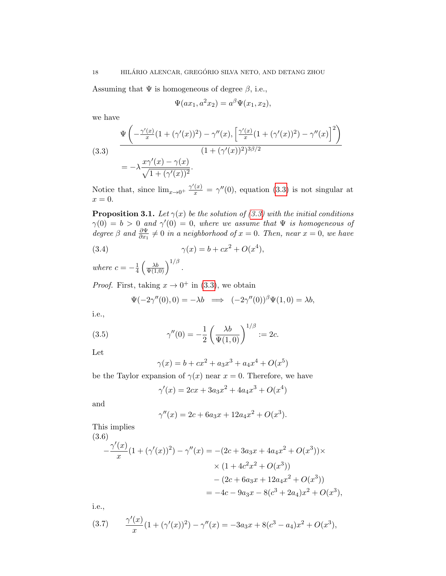Assuming that  $\Psi$  is homogeneous of degree  $\beta$ , i.e.,

$$
\Psi(ax_1, a^2x_2) = a^{\beta} \Psi(x_1, x_2),
$$

we have

<span id="page-17-0"></span>(3.3)  
\n
$$
\frac{\Psi\left(-\frac{\gamma'(x)}{x}(1+(\gamma'(x))^2) - \gamma''(x), \left[\frac{\gamma'(x)}{x}(1+(\gamma'(x))^2) - \gamma''(x)\right]^2\right)}{(1+(\gamma'(x))^2)^{3\beta/2}}
$$
\n
$$
= -\lambda \frac{x\gamma'(x) - \gamma(x)}{\sqrt{1+(\gamma'(x))^2}}.
$$

Notice that, since  $\lim_{x\to 0^+} \frac{\gamma'(x)}{x} = \gamma''(0)$ , equation [\(3.3\)](#page-17-0) is not singular at  $x = 0.$ 

**Proposition 3.1.** Let  $\gamma(x)$  be the solution of [\(3.3\)](#page-17-0) with the initial conditions  $\gamma(0) = b > 0$  and  $\gamma'(0) = 0$ , where we assume that  $\Psi$  is homogeneous of degree  $\beta$  and  $\frac{\partial \Psi}{\partial x_1} \neq 0$  in a neighborhood of  $x = 0$ . Then, near  $x = 0$ , we have

(3.4) 
$$
\gamma(x) = b + cx^2 + O(x^4),
$$

where  $c = -\frac{1}{4}$  $\frac{1}{4}\left(\frac{\lambda b}{\Psi(1,0)}\right)^{1/\beta}$  .

*Proof.* First, taking  $x \to 0^+$  in [\(3.3\)](#page-17-0), we obtain

<span id="page-17-3"></span>
$$
\Psi(-2\gamma''(0),0) = -\lambda b \implies (-2\gamma''(0))^{\beta} \Psi(1,0) = \lambda b,
$$

i.e.,

(3.5) 
$$
\gamma''(0) = -\frac{1}{2} \left( \frac{\lambda b}{\Psi(1,0)} \right)^{1/\beta} := 2c.
$$

Let

<span id="page-17-2"></span>
$$
\gamma(x) = b + cx^2 + a_3x^3 + a_4x^4 + O(x^5)
$$

be the Taylor expansion of  $\gamma(x)$  near  $x = 0$ . Therefore, we have

$$
\gamma'(x) = 2cx + 3a_3x^2 + 4a_4x^3 + O(x^4)
$$

and

$$
\gamma''(x) = 2c + 6a_3x + 12a_4x^2 + O(x^3).
$$

This implies

<span id="page-17-4"></span>
$$
(3.6)
$$
\n
$$
-\frac{\gamma'(x)}{x}(1+(\gamma'(x))^2) - \gamma''(x) = -(2c+3a_3x+4a_4x^2+O(x^3)) \times
$$
\n
$$
\times (1+4c^2x^2+O(x^3))
$$
\n
$$
-(2c+6a_3x+12a_4x^2+O(x^3))
$$
\n
$$
= -4c-9a_3x-8(c^3+2a_4)x^2+O(x^3),
$$

i.e.,

<span id="page-17-1"></span>(3.7) 
$$
\frac{\gamma'(x)}{x}(1+(\gamma'(x))^2) - \gamma''(x) = -3a_3x + 8(c^3 - a_4)x^2 + O(x^3),
$$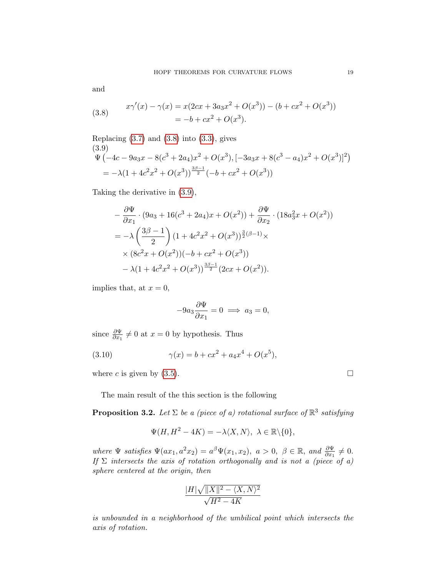and

<span id="page-18-0"></span>(3.8) 
$$
x\gamma'(x) - \gamma(x) = x(2cx + 3a_3x^2 + O(x^3)) - (b + cx^2 + O(x^3))
$$

$$
= -b + cx^2 + O(x^3).
$$

<span id="page-18-1"></span>Replacing (3.7) and (3.8) into (3.3), gives  
\n(3.9)  
\n
$$
\Psi \left( -4c - 9a_3x - 8(c^3 + 2a_4)x^2 + O(x^3), \left[ -3a_3x + 8(c^3 - a_4)x^2 + O(x^3) \right]^2 \right)
$$
\n
$$
= -\lambda \left( 1 + 4c^2x^2 + O(x^3) \right)^{\frac{3\beta - 1}{2}} \left( -b + cx^2 + O(x^3) \right)
$$

Taking the derivative in [\(3.9\)](#page-18-1),

$$
-\frac{\partial \Psi}{\partial x_1} \cdot (9a_3 + 16(c^3 + 2a_4)x + O(x^2)) + \frac{\partial \Psi}{\partial x_2} \cdot (18a_3^2x + O(x^2))
$$
  
=  $-\lambda \left(\frac{3\beta - 1}{2}\right) (1 + 4c^2x^2 + O(x^3))^{\frac{3}{2}(\beta - 1)} \times$   
 $\times (8c^2x + O(x^2))(-b + cx^2 + O(x^3))$   
 $-\lambda(1 + 4c^2x^2 + O(x^3))^{\frac{3\beta - 1}{2}}(2cx + O(x^2)).$ 

implies that, at  $x = 0$ ,

$$
-9a_3\frac{\partial\Psi}{\partial x_1} = 0 \implies a_3 = 0,
$$

since  $\frac{\partial \Psi}{\partial x_1} \neq 0$  at  $x = 0$  by hypothesis. Thus

(3.10) 
$$
\gamma(x) = b + cx^2 + a_4x^4 + O(x^5),
$$

where c is given by  $(3.5)$ .

The main result of the this section is the following

**Proposition 3.2.** Let  $\Sigma$  be a (piece of a) rotational surface of  $\mathbb{R}^3$  satisfying

$$
\Psi(H, H^2 - 4K) = -\lambda \langle X, N \rangle, \ \lambda \in \mathbb{R} \backslash \{0\},
$$

where  $\Psi$  satisfies  $\Psi(ax_1, a^2x_2) = a^{\beta} \Psi(x_1, x_2), \ a > 0, \ \beta \in \mathbb{R}, \ and \ \frac{\partial \Psi}{\partial x_1} \neq 0.$ If  $\Sigma$  intersects the axis of rotation orthogonally and is not a (piece of a) sphere centered at the origin, then

$$
\frac{|H|\sqrt{\|X\|^2-\langle X,N\rangle^2}}{\sqrt{H^2-4K}}
$$

is unbounded in a neighborhood of the umbilical point which intersects the axis of rotation.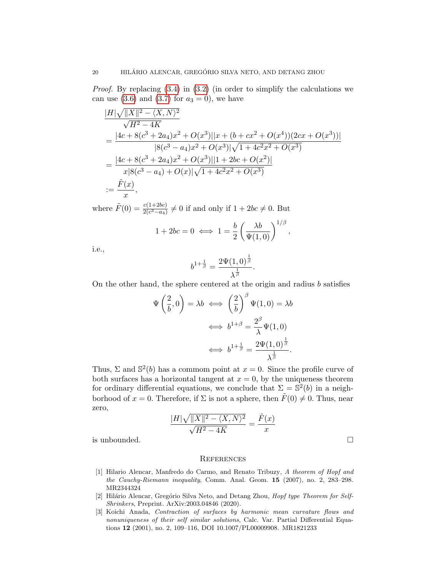Proof. By replacing [\(3.4\)](#page-17-3) in [\(3.2\)](#page-16-0) (in order to simplify the calculations we can use  $(3.6)$  and  $(3.7)$  for  $a_3 = 0$ , we have

$$
\frac{|H|\sqrt{\|X\|^2 - \langle X, N \rangle^2}}{\sqrt{H^2 - 4K}}
$$
\n
$$
= \frac{|4c + 8(c^3 + 2a_4)x^2 + O(x^3)||x + (b + cx^2 + O(x^4))(2cx + O(x^3))|}{|8(c^3 - a_4)x^2 + O(x^3)|\sqrt{1 + 4c^2x^2 + O(x^3)}}
$$
\n
$$
= \frac{|4c + 8(c^3 + 2a_4)x^2 + O(x^3)||1 + 2bc + O(x^2)|}{x|8(c^3 - a_4) + O(x)|\sqrt{1 + 4c^2x^2 + O(x^3)}}
$$
\n
$$
:= \frac{\tilde{F}(x)}{x},
$$

where  $\tilde{F}(0) = \frac{c(1+2bc)}{2(c^3-a_4)} \neq 0$  if and only if  $1+2bc \neq 0$ . But

$$
1 + 2bc = 0 \iff 1 = \frac{b}{2} \left( \frac{\lambda b}{\Psi(1,0)} \right)^{1/\beta},
$$

i.e.,

$$
b^{1+\frac{1}{\beta}} = \frac{2\Psi(1,0)^{\frac{1}{\beta}}}{\lambda^{\frac{1}{\beta}}}.
$$

On the other hand, the sphere centered at the origin and radius  $b$  satisfies

$$
\Psi\left(\frac{2}{b},0\right) = \lambda b \iff \left(\frac{2}{b}\right)^{\beta} \Psi(1,0) = \lambda b
$$

$$
\iff b^{1+\beta} = \frac{2^{\beta}}{\lambda} \Psi(1,0)
$$

$$
\iff b^{1+\frac{1}{\beta}} = \frac{2\Psi(1,0)^{\frac{1}{\beta}}}{\lambda^{\frac{1}{\beta}}}.
$$

Thus,  $\Sigma$  and  $\mathbb{S}^2(b)$  has a commom point at  $x=0$ . Since the profile curve of both surfaces has a horizontal tangent at  $x = 0$ , by the uniqueness theorem for ordinary differential equations, we conclude that  $\Sigma = \mathbb{S}^2(b)$  in a neighborhood of  $x = 0$ . Therefore, if  $\Sigma$  is not a sphere, then  $\tilde{F}(0) \neq 0$ . Thus, near zero,

$$
\frac{|H|\sqrt{\|X\|^2-\langle X,N\rangle^2}}{\sqrt{H^2-4K}}=\frac{\tilde{F}(x)}{x}
$$
 is unbounded.

#### **REFERENCES**

- <span id="page-19-2"></span>[1] Hilario Alencar, Manfredo do Carmo, and Renato Tribuzy, A theorem of Hopf and the Cauchy-Riemann inequality, Comm. Anal. Geom. 15 (2007), no. 2, 283–298. MR2344324
- <span id="page-19-0"></span>[2] Hilário Alencar, Gregório Silva Neto, and Detang Zhou, Hopf type Theorem for Self-Shrinkers, Preprint. ArXiv:2003.04846 (2020).
- <span id="page-19-1"></span>[3] Koichi Anada, Contraction of surfaces by harmonic mean curvature flows and nonuniqueness of their self similar solutions, Calc. Var. Partial Differential Equations 12 (2001), no. 2, 109–116, DOI 10.1007/PL00009908. MR1821233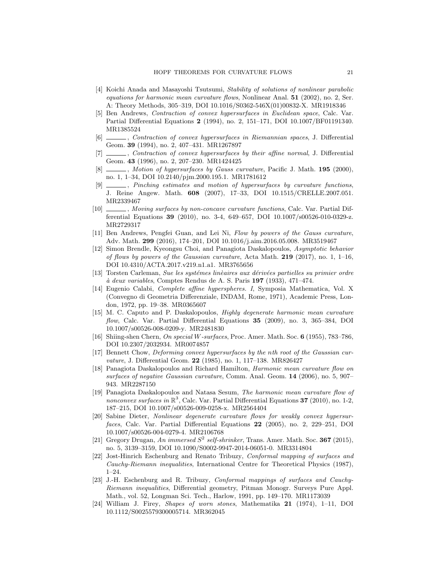- <span id="page-20-10"></span>[4] Koichi Anada and Masayoshi Tsutsumi, Stability of solutions of nonlinear parabolic equations for harmonic mean curvature flows, Nonlinear Anal. 51 (2002), no. 2, Ser. A: Theory Methods, 305–319, DOI 10.1016/S0362-546X(01)00832-X. MR1918346
- <span id="page-20-0"></span>[5] Ben Andrews, Contraction of convex hypersurfaces in Euclidean space, Calc. Var. Partial Differential Equations 2 (1994), no. 2, 151–171, DOI 10.1007/BF01191340. MR1385524
- <span id="page-20-1"></span>[6] , Contraction of convex hypersurfaces in Riemannian spaces, J. Differential Geom. 39 (1994), no. 2, 407–431. MR1267897
- <span id="page-20-13"></span>[7]  $\ldots$ , Contraction of convex hypersurfaces by their affine normal, J. Differential Geom. 43 (1996), no. 2, 207–230. MR1424425
- <span id="page-20-15"></span>[8]  $\qquad \qquad$ , Motion of hypersurfaces by Gauss curvature, Pacific J. Math. 195 (2000), no. 1, 1–34, DOI 10.2140/pjm.2000.195.1. MR1781612
- <span id="page-20-2"></span>[9]  $\qquad \qquad$ , Pinching estimates and motion of hypersurfaces by curvature functions, J. Reine Angew. Math. 608 (2007), 17–33, DOI 10.1515/CRELLE.2007.051. MR2339467
- <span id="page-20-3"></span>[10] , Moving surfaces by non-concave curvature functions, Calc. Var. Partial Differential Equations 39 (2010), no. 3-4, 649–657, DOI 10.1007/s00526-010-0329-z. MR2729317
- <span id="page-20-16"></span>[11] Ben Andrews, Pengfei Guan, and Lei Ni, Flow by powers of the Gauss curvature, Adv. Math. 299 (2016), 174–201, DOI 10.1016/j.aim.2016.05.008. MR3519467
- <span id="page-20-17"></span>[12] Simon Brendle, Kyeongsu Choi, and Panagiota Daskalopoulos, Asymptotic behavior of flows by powers of the Gaussian curvature, Acta Math. 219 (2017), no. 1, 1–16, DOI 10.4310/ACTA.2017.v219.n1.a1. MR3765656
- <span id="page-20-20"></span>[13] Torsten Carleman, Sue les systémes linèaires aux dérivées partielles su primier ordre  $\dot{a}$  deux variables, Comptes Rendus de A. S. Paris 197 (1933), 471–474.
- <span id="page-20-14"></span>[14] Eugenio Calabi, Complete affine hyperspheres. I, Symposia Mathematica, Vol. X (Convegno di Geometria Differenziale, INDAM, Rome, 1971), Academic Press, London, 1972, pp. 19–38. MR0365607
- <span id="page-20-7"></span>[15] M. C. Caputo and P. Daskalopoulos, Highly degenerate harmonic mean curvature flow, Calc. Var. Partial Differential Equations 35 (2009), no. 3, 365–384, DOI 10.1007/s00526-008-0209-y. MR2481830
- <span id="page-20-4"></span>[16] Shiing-shen Chern, On special W-surfaces, Proc. Amer. Math. Soc. 6 (1955), 783–786, DOI 10.2307/2032934. MR0074857
- <span id="page-20-12"></span>[17] Bennett Chow, Deforming convex hypersurfaces by the nth root of the Gaussian curvature, J. Differential Geom. 22 (1985), no. 1, 117-138. MR826427
- <span id="page-20-9"></span>[18] Panagiota Daskalopoulos and Richard Hamilton, Harmonic mean curvature flow on surfaces of negative Gaussian curvature, Comm. Anal. Geom. 14 (2006), no. 5, 907– 943. MR2287150
- <span id="page-20-8"></span>[19] Panagiota Daskalopoulos and Natasa Sesum, The harmonic mean curvature flow of nonconvex surfaces in  $\mathbb{R}^3$ , Calc. Var. Partial Differential Equations 37 (2010), no. 1-2, 187–215, DOI 10.1007/s00526-009-0258-x. MR2564404
- <span id="page-20-6"></span>[20] Sabine Dieter, Nonlinear degenerate curvature flows for weakly convex hypersurfaces, Calc. Var. Partial Differential Equations 22 (2005), no. 2, 229–251, DOI 10.1007/s00526-004-0279-4. MR2106768
- <span id="page-20-5"></span>[21] Gregory Drugan, An immersed  $S^2$  self-shrinker, Trans. Amer. Math. Soc. 367 (2015), no. 5, 3139–3159, DOI 10.1090/S0002-9947-2014-06051-0. MR3314804
- <span id="page-20-18"></span>[22] Jost-Hinrich Eschenburg and Renato Tribuzy, Conformal mapping of surfaces and Cauchy-Riemann inequalities, International Centre for Theoretical Physics (1987), 1–24.
- <span id="page-20-19"></span>[23] J.-H. Eschenburg and R. Tribuzy, Conformal mappings of surfaces and Cauchy-Riemann inequalities, Differential geometry, Pitman Monogr. Surveys Pure Appl. Math., vol. 52, Longman Sci. Tech., Harlow, 1991, pp. 149–170. MR1173039
- <span id="page-20-11"></span>[24] William J. Firey, Shapes of worn stones, Mathematika 21 (1974), 1–11, DOI 10.1112/S0025579300005714. MR362045